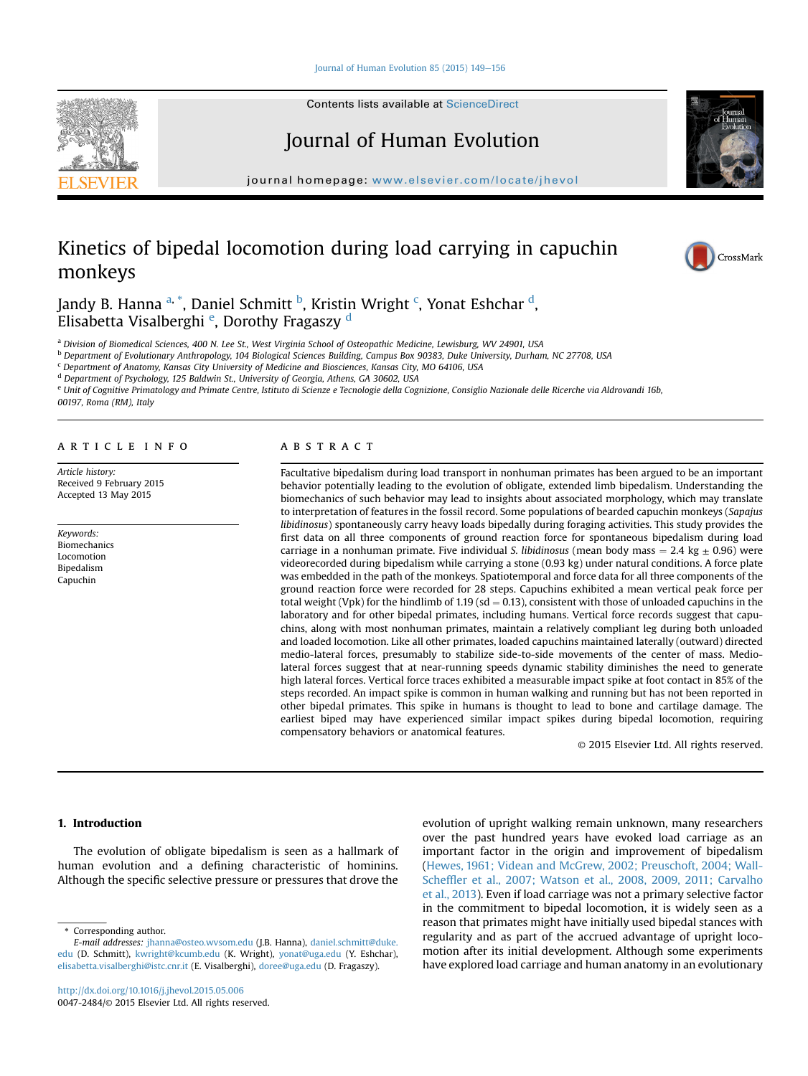[Journal of Human Evolution 85 \(2015\) 149](http://dx.doi.org/10.1016/j.jhevol.2015.05.006)-[156](http://dx.doi.org/10.1016/j.jhevol.2015.05.006)

Contents lists available at ScienceDirect

# Journal of Human Evolution

journal homepage: [www.elsevier.com/locate/jhevol](http://www.elsevier.com/locate/jhevol)

# Kinetics of bipedal locomotion during load carrying in capuchin monkeys



a Division of Biomedical Sciences, 400 N. Lee St., West Virginia School of Osteopathic Medicine, Lewisburg, WV 24901, USA

<sup>b</sup> Department of Evolutionary Anthropology, 104 Biological Sciences Building, Campus Box 90383, Duke University, Durham, NC 27708, USA

<sup>c</sup> Department of Anatomy, Kansas City University of Medicine and Biosciences, Kansas City, MO 64106, USA

<sup>d</sup> Department of Psychology, 125 Baldwin St., University of Georgia, Athens, GA 30602, USA

e Unit of Cognitive Primatology and Primate Centre, Istituto di Scienze e Tecnologie della Cognizione, Consiglio Nazionale delle Ricerche via Aldrovandi 16b, 00197, Roma (RM), Italy

### article info

Article history: Received 9 February 2015 Accepted 13 May 2015

Keywords: Biomechanics Locomotion Bipedalism Capuchin



Facultative bipedalism during load transport in nonhuman primates has been argued to be an important behavior potentially leading to the evolution of obligate, extended limb bipedalism. Understanding the biomechanics of such behavior may lead to insights about associated morphology, which may translate to interpretation of features in the fossil record. Some populations of bearded capuchin monkeys (Sapajus libidinosus) spontaneously carry heavy loads bipedally during foraging activities. This study provides the first data on all three components of ground reaction force for spontaneous bipedalism during load carriage in a nonhuman primate. Five individual S. libidinosus (mean body mass  $= 2.4$  kg  $\pm$  0.96) were videorecorded during bipedalism while carrying a stone (0.93 kg) under natural conditions. A force plate was embedded in the path of the monkeys. Spatiotemporal and force data for all three components of the ground reaction force were recorded for 28 steps. Capuchins exhibited a mean vertical peak force per total weight (Vpk) for the hindlimb of 1.19 (sd = 0.13), consistent with those of unloaded capuchins in the laboratory and for other bipedal primates, including humans. Vertical force records suggest that capuchins, along with most nonhuman primates, maintain a relatively compliant leg during both unloaded and loaded locomotion. Like all other primates, loaded capuchins maintained laterally (outward) directed medio-lateral forces, presumably to stabilize side-to-side movements of the center of mass. Mediolateral forces suggest that at near-running speeds dynamic stability diminishes the need to generate high lateral forces. Vertical force traces exhibited a measurable impact spike at foot contact in 85% of the steps recorded. An impact spike is common in human walking and running but has not been reported in other bipedal primates. This spike in humans is thought to lead to bone and cartilage damage. The earliest biped may have experienced similar impact spikes during bipedal locomotion, requiring compensatory behaviors or anatomical features.

© 2015 Elsevier Ltd. All rights reserved.

# 1. Introduction

The evolution of obligate bipedalism is seen as a hallmark of human evolution and a defining characteristic of hominins. Although the specific selective pressure or pressures that drove the

Corresponding author.

evolution of upright walking remain unknown, many researchers over the past hundred years have evoked load carriage as an important factor in the origin and improvement of bipedalism ([Hewes, 1961; Videan and McGrew, 2002; Preuschoft, 2004; Wall-](#page-7-0)Scheffl[er et al., 2007; Watson et al., 2008, 2009, 2011; Carvalho](#page-7-0) [et al., 2013](#page-7-0)). Even if load carriage was not a primary selective factor in the commitment to bipedal locomotion, it is widely seen as a reason that primates might have initially used bipedal stances with regularity and as part of the accrued advantage of upright locomotion after its initial development. Although some experiments have explored load carriage and human anatomy in an evolutionary





E-mail addresses: [jhanna@osteo.wvsom.edu](mailto:jhanna@osteo.wvsom.edu) (J.B. Hanna), [daniel.schmitt@duke.](mailto:daniel.schmitt@duke.edu) [edu](mailto:daniel.schmitt@duke.edu) (D. Schmitt), [kwright@kcumb.edu](mailto:kwright@kcumb.edu) (K. Wright), [yonat@uga.edu](mailto:yonat@uga.edu) (Y. Eshchar), [elisabetta.visalberghi@istc.cnr.it](mailto:elisabetta.visalberghi@istc.cnr.it) (E. Visalberghi), [doree@uga.edu](mailto:doree@uga.edu) (D. Fragaszy).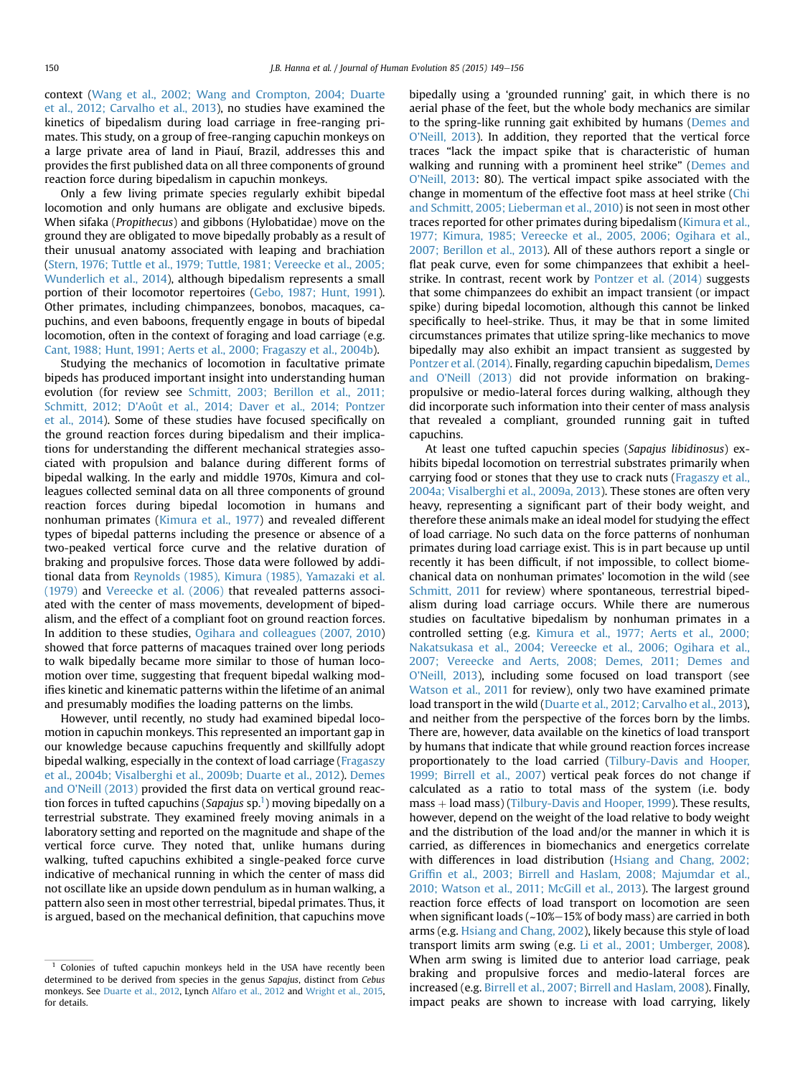context ([Wang et al., 2002; Wang and Crompton, 2004; Duarte](#page-7-0) [et al., 2012; Carvalho et al., 2013\)](#page-7-0), no studies have examined the kinetics of bipedalism during load carriage in free-ranging primates. This study, on a group of free-ranging capuchin monkeys on a large private area of land in Piauí, Brazil, addresses this and provides the first published data on all three components of ground reaction force during bipedalism in capuchin monkeys.

Only a few living primate species regularly exhibit bipedal locomotion and only humans are obligate and exclusive bipeds. When sifaka (Propithecus) and gibbons (Hylobatidae) move on the ground they are obligated to move bipedally probably as a result of their unusual anatomy associated with leaping and brachiation ([Stern, 1976; Tuttle et al., 1979; Tuttle, 1981; Vereecke et al., 2005;](#page-7-0) [Wunderlich et al., 2014](#page-7-0)), although bipedalism represents a small portion of their locomotor repertoires [\(Gebo, 1987; Hunt, 1991\)](#page-7-0). Other primates, including chimpanzees, bonobos, macaques, capuchins, and even baboons, frequently engage in bouts of bipedal locomotion, often in the context of foraging and load carriage (e.g. [Cant, 1988; Hunt, 1991; Aerts et al., 2000; Fragaszy et al., 2004b](#page-6-0)).

Studying the mechanics of locomotion in facultative primate bipeds has produced important insight into understanding human evolution (for review see [Schmitt, 2003; Berillon et al., 2011;](#page-7-0) [Schmitt, 2012; D'Août et al., 2014; Daver et al., 2014; Pontzer](#page-7-0) [et al., 2014](#page-7-0)). Some of these studies have focused specifically on the ground reaction forces during bipedalism and their implications for understanding the different mechanical strategies associated with propulsion and balance during different forms of bipedal walking. In the early and middle 1970s, Kimura and colleagues collected seminal data on all three components of ground reaction forces during bipedal locomotion in humans and nonhuman primates ([Kimura et al., 1977](#page-7-0)) and revealed different types of bipedal patterns including the presence or absence of a two-peaked vertical force curve and the relative duration of braking and propulsive forces. Those data were followed by additional data from [Reynolds \(1985\), Kimura \(1985\), Yamazaki et al.](#page-7-0) [\(1979\)](#page-7-0) and [Vereecke et al. \(2006\)](#page-7-0) that revealed patterns associated with the center of mass movements, development of bipedalism, and the effect of a compliant foot on ground reaction forces. In addition to these studies, [Ogihara and colleagues \(2007, 2010\)](#page-7-0) showed that force patterns of macaques trained over long periods to walk bipedally became more similar to those of human locomotion over time, suggesting that frequent bipedal walking modifies kinetic and kinematic patterns within the lifetime of an animal and presumably modifies the loading patterns on the limbs.

However, until recently, no study had examined bipedal locomotion in capuchin monkeys. This represented an important gap in our knowledge because capuchins frequently and skillfully adopt bipedal walking, especially in the context of load carriage ([Fragaszy](#page-7-0) [et al., 2004b; Visalberghi et al., 2009b; Duarte et al., 2012\)](#page-7-0). [Demes](#page-7-0) [and O'Neill \(2013\)](#page-7-0) provided the first data on vertical ground reaction forces in tufted capuchins (Sapajus sp.<sup>1</sup>) moving bipedally on a terrestrial substrate. They examined freely moving animals in a laboratory setting and reported on the magnitude and shape of the vertical force curve. They noted that, unlike humans during walking, tufted capuchins exhibited a single-peaked force curve indicative of mechanical running in which the center of mass did not oscillate like an upside down pendulum as in human walking, a pattern also seen in most other terrestrial, bipedal primates. Thus, it is argued, based on the mechanical definition, that capuchins move

bipedally using a 'grounded running' gait, in which there is no aerial phase of the feet, but the whole body mechanics are similar to the spring-like running gait exhibited by humans ([Demes and](#page-7-0) [O'Neill, 2013](#page-7-0)). In addition, they reported that the vertical force traces "lack the impact spike that is characteristic of human walking and running with a prominent heel strike" ([Demes and](#page-7-0) [O'Neill, 2013:](#page-7-0) 80). The vertical impact spike associated with the change in momentum of the effective foot mass at heel strike ([Chi](#page-6-0) [and Schmitt, 2005; Lieberman et al., 2010](#page-6-0)) is not seen in most other traces reported for other primates during bipedalism ([Kimura et al.,](#page-7-0) [1977; Kimura, 1985; Vereecke et al., 2005, 2006; Ogihara et al.,](#page-7-0) [2007; Berillon et al., 2013\)](#page-7-0). All of these authors report a single or flat peak curve, even for some chimpanzees that exhibit a heelstrike. In contrast, recent work by [Pontzer et al. \(2014\)](#page-7-0) suggests that some chimpanzees do exhibit an impact transient (or impact spike) during bipedal locomotion, although this cannot be linked specifically to heel-strike. Thus, it may be that in some limited circumstances primates that utilize spring-like mechanics to move bipedally may also exhibit an impact transient as suggested by [Pontzer et al. \(2014\)](#page-7-0). Finally, regarding capuchin bipedalism, [Demes](#page-7-0) [and O'Neill \(2013\)](#page-7-0) did not provide information on brakingpropulsive or medio-lateral forces during walking, although they did incorporate such information into their center of mass analysis that revealed a compliant, grounded running gait in tufted capuchins.

At least one tufted capuchin species (Sapajus libidinosus) exhibits bipedal locomotion on terrestrial substrates primarily when carrying food or stones that they use to crack nuts [\(Fragaszy et al.,](#page-7-0) [2004a; Visalberghi et al., 2009a, 2013](#page-7-0)). These stones are often very heavy, representing a significant part of their body weight, and therefore these animals make an ideal model for studying the effect of load carriage. No such data on the force patterns of nonhuman primates during load carriage exist. This is in part because up until recently it has been difficult, if not impossible, to collect biomechanical data on nonhuman primates' locomotion in the wild (see [Schmitt, 2011](#page-7-0) for review) where spontaneous, terrestrial bipedalism during load carriage occurs. While there are numerous studies on facultative bipedalism by nonhuman primates in a controlled setting (e.g. [Kimura et al., 1977; Aerts et al., 2000;](#page-7-0) [Nakatsukasa et al., 2004; Vereecke et al., 2006; Ogihara et al.,](#page-7-0) [2007; Vereecke and Aerts, 2008; Demes, 2011; Demes and](#page-7-0) [O'Neill, 2013](#page-7-0)), including some focused on load transport (see [Watson et al., 2011](#page-7-0) for review), only two have examined primate load transport in the wild ([Duarte et al., 2012; Carvalho et al., 2013\)](#page-7-0), and neither from the perspective of the forces born by the limbs. There are, however, data available on the kinetics of load transport by humans that indicate that while ground reaction forces increase proportionately to the load carried [\(Tilbury-Davis and Hooper,](#page-7-0) [1999; Birrell et al., 2007](#page-7-0)) vertical peak forces do not change if calculated as a ratio to total mass of the system (i.e. body  $mass + load$  mass) ([Tilbury-Davis and Hooper, 1999\)](#page-7-0). These results, however, depend on the weight of the load relative to body weight and the distribution of the load and/or the manner in which it is carried, as differences in biomechanics and energetics correlate with differences in load distribution ([Hsiang and Chang, 2002;](#page-7-0) Griffi[n et al., 2003; Birrell and Haslam, 2008; Majumdar et al.,](#page-7-0) [2010; Watson et al., 2011; McGill et al., 2013](#page-7-0)). The largest ground reaction force effects of load transport on locomotion are seen when significant loads  $(-10\%-15\%)$  of body mass) are carried in both arms (e.g. [Hsiang and Chang, 2002\)](#page-7-0), likely because this style of load transport limits arm swing (e.g. [Li et al., 2001; Umberger, 2008\)](#page-7-0). When arm swing is limited due to anterior load carriage, peak braking and propulsive forces and medio-lateral forces are increased (e.g. [Birrell et al., 2007; Birrell and Haslam, 2008\)](#page-6-0). Finally, impact peaks are shown to increase with load carrying, likely

 $1$  Colonies of tufted capuchin monkeys held in the USA have recently been determined to be derived from species in the genus Sapajus, distinct from Cebus monkeys. See [Duarte et al., 2012](#page-7-0), Lynch [Alfaro et al., 2012](#page-6-0) and [Wright et al., 2015](#page-7-0), for details.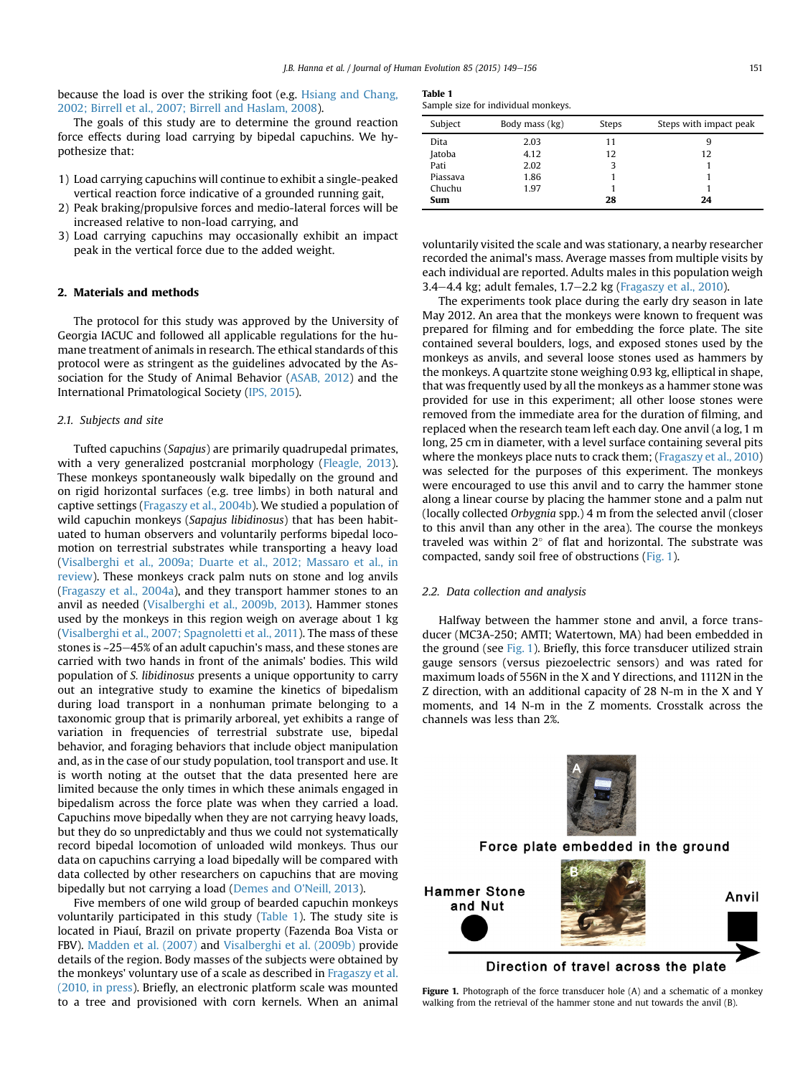<span id="page-2-0"></span>because the load is over the striking foot (e.g. [Hsiang and Chang,](#page-7-0) [2002; Birrell et al., 2007; Birrell and Haslam, 2008\)](#page-7-0).

The goals of this study are to determine the ground reaction force effects during load carrying by bipedal capuchins. We hypothesize that:

- 1) Load carrying capuchins will continue to exhibit a single-peaked vertical reaction force indicative of a grounded running gait,
- 2) Peak braking/propulsive forces and medio-lateral forces will be increased relative to non-load carrying, and
- 3) Load carrying capuchins may occasionally exhibit an impact peak in the vertical force due to the added weight.

## 2. Materials and methods

The protocol for this study was approved by the University of Georgia IACUC and followed all applicable regulations for the humane treatment of animals in research. The ethical standards of this protocol were as stringent as the guidelines advocated by the Association for the Study of Animal Behavior [\(ASAB, 2012\)](#page-6-0) and the International Primatological Society [\(IPS, 2015](#page-7-0)).

## 2.1. Subjects and site

Tufted capuchins (Sapajus) are primarily quadrupedal primates, with a very generalized postcranial morphology [\(Fleagle, 2013\)](#page-7-0). These monkeys spontaneously walk bipedally on the ground and on rigid horizontal surfaces (e.g. tree limbs) in both natural and captive settings ([Fragaszy et al., 2004b\)](#page-7-0). We studied a population of wild capuchin monkeys (Sapajus libidinosus) that has been habituated to human observers and voluntarily performs bipedal locomotion on terrestrial substrates while transporting a heavy load ([Visalberghi et al., 2009a; Duarte et al., 2012; Massaro et al., in](#page-7-0) [review](#page-7-0)). These monkeys crack palm nuts on stone and log anvils ([Fragaszy et al., 2004a](#page-7-0)), and they transport hammer stones to an anvil as needed ([Visalberghi et al., 2009b, 2013](#page-7-0)). Hammer stones used by the monkeys in this region weigh on average about 1 kg ([Visalberghi et al., 2007; Spagnoletti et al., 2011](#page-7-0)). The mass of these stones is  $\approx$  25 $-45\%$  of an adult capuchin's mass, and these stones are carried with two hands in front of the animals' bodies. This wild population of S. libidinosus presents a unique opportunity to carry out an integrative study to examine the kinetics of bipedalism during load transport in a nonhuman primate belonging to a taxonomic group that is primarily arboreal, yet exhibits a range of variation in frequencies of terrestrial substrate use, bipedal behavior, and foraging behaviors that include object manipulation and, as in the case of our study population, tool transport and use. It is worth noting at the outset that the data presented here are limited because the only times in which these animals engaged in bipedalism across the force plate was when they carried a load. Capuchins move bipedally when they are not carrying heavy loads, but they do so unpredictably and thus we could not systematically record bipedal locomotion of unloaded wild monkeys. Thus our data on capuchins carrying a load bipedally will be compared with data collected by other researchers on capuchins that are moving bipedally but not carrying a load [\(Demes and O'Neill, 2013\)](#page-7-0).

Five members of one wild group of bearded capuchin monkeys voluntarily participated in this study (Table 1). The study site is located in Piauí, Brazil on private property (Fazenda Boa Vista or FBV). [Madden et al. \(2007\)](#page-7-0) and [Visalberghi et al. \(2009b\)](#page-7-0) provide details of the region. Body masses of the subjects were obtained by the monkeys' voluntary use of a scale as described in [Fragaszy et al.](#page-7-0) [\(2010, in press\)](#page-7-0). Briefly, an electronic platform scale was mounted to a tree and provisioned with corn kernels. When an animal

Table 1

| Sample size for individual monkeys. |  |
|-------------------------------------|--|
|-------------------------------------|--|

| Subject  | Body mass (kg) | Steps | Steps with impact peak |
|----------|----------------|-------|------------------------|
| Dita     | 2.03           | 11    | 9                      |
| Jatoba   | 4.12           | 12    | 12                     |
| Pati     | 2.02           | 3     |                        |
| Piassava | 1.86           |       |                        |
| Chuchu   | 1.97           |       |                        |
| Sum      |                | 28    | 24                     |

voluntarily visited the scale and was stationary, a nearby researcher recorded the animal's mass. Average masses from multiple visits by each individual are reported. Adults males in this population weigh  $3.4-4.4$  kg; adult females,  $1.7-2.2$  kg ([Fragaszy et al., 2010](#page-7-0)).

The experiments took place during the early dry season in late May 2012. An area that the monkeys were known to frequent was prepared for filming and for embedding the force plate. The site contained several boulders, logs, and exposed stones used by the monkeys as anvils, and several loose stones used as hammers by the monkeys. A quartzite stone weighing 0.93 kg, elliptical in shape, that was frequently used by all the monkeys as a hammer stone was provided for use in this experiment; all other loose stones were removed from the immediate area for the duration of filming, and replaced when the research team left each day. One anvil (a log, 1 m long, 25 cm in diameter, with a level surface containing several pits where the monkeys place nuts to crack them; ([Fragaszy et al., 2010\)](#page-7-0) was selected for the purposes of this experiment. The monkeys were encouraged to use this anvil and to carry the hammer stone along a linear course by placing the hammer stone and a palm nut (locally collected Orbygnia spp.) 4 m from the selected anvil (closer to this anvil than any other in the area). The course the monkeys traveled was within  $2^{\circ}$  of flat and horizontal. The substrate was compacted, sandy soil free of obstructions (Fig. 1).

## 2.2. Data collection and analysis

Halfway between the hammer stone and anvil, a force transducer (MC3A-250; AMTI; Watertown, MA) had been embedded in the ground (see Fig. 1). Briefly, this force transducer utilized strain gauge sensors (versus piezoelectric sensors) and was rated for maximum loads of 556N in the X and Y directions, and 1112N in the Z direction, with an additional capacity of 28 N-m in the X and Y moments, and 14 N-m in the Z moments. Crosstalk across the channels was less than 2%.



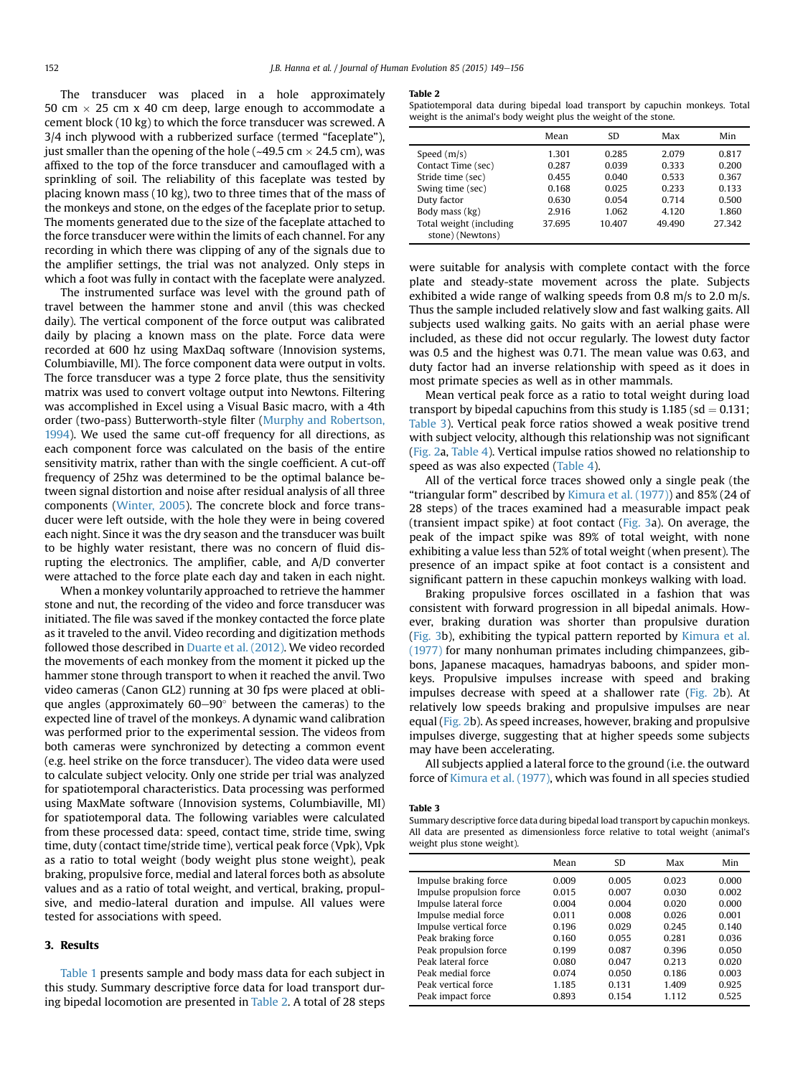The transducer was placed in a hole approximately 50 cm  $\times$  25 cm x 40 cm deep, large enough to accommodate a cement block (10 kg) to which the force transducer was screwed. A 3/4 inch plywood with a rubberized surface (termed "faceplate"), just smaller than the opening of the hole ( $\sim$ 49.5 cm  $\times$  24.5 cm), was affixed to the top of the force transducer and camouflaged with a sprinkling of soil. The reliability of this faceplate was tested by placing known mass (10 kg), two to three times that of the mass of the monkeys and stone, on the edges of the faceplate prior to setup. The moments generated due to the size of the faceplate attached to the force transducer were within the limits of each channel. For any recording in which there was clipping of any of the signals due to the amplifier settings, the trial was not analyzed. Only steps in which a foot was fully in contact with the faceplate were analyzed.

The instrumented surface was level with the ground path of travel between the hammer stone and anvil (this was checked daily). The vertical component of the force output was calibrated daily by placing a known mass on the plate. Force data were recorded at 600 hz using MaxDaq software (Innovision systems, Columbiaville, MI). The force component data were output in volts. The force transducer was a type 2 force plate, thus the sensitivity matrix was used to convert voltage output into Newtons. Filtering was accomplished in Excel using a Visual Basic macro, with a 4th order (two-pass) Butterworth-style filter ([Murphy and Robertson,](#page-7-0) [1994](#page-7-0)). We used the same cut-off frequency for all directions, as each component force was calculated on the basis of the entire sensitivity matrix, rather than with the single coefficient. A cut-off frequency of 25hz was determined to be the optimal balance between signal distortion and noise after residual analysis of all three components ([Winter, 2005\)](#page-7-0). The concrete block and force transducer were left outside, with the hole they were in being covered each night. Since it was the dry season and the transducer was built to be highly water resistant, there was no concern of fluid disrupting the electronics. The amplifier, cable, and A/D converter were attached to the force plate each day and taken in each night.

When a monkey voluntarily approached to retrieve the hammer stone and nut, the recording of the video and force transducer was initiated. The file was saved if the monkey contacted the force plate as it traveled to the anvil. Video recording and digitization methods followed those described in [Duarte et al. \(2012\)](#page-7-0). We video recorded the movements of each monkey from the moment it picked up the hammer stone through transport to when it reached the anvil. Two video cameras (Canon GL2) running at 30 fps were placed at oblique angles (approximately 60–90 $^{\circ}$  between the cameras) to the expected line of travel of the monkeys. A dynamic wand calibration was performed prior to the experimental session. The videos from both cameras were synchronized by detecting a common event (e.g. heel strike on the force transducer). The video data were used to calculate subject velocity. Only one stride per trial was analyzed for spatiotemporal characteristics. Data processing was performed using MaxMate software (Innovision systems, Columbiaville, MI) for spatiotemporal data. The following variables were calculated from these processed data: speed, contact time, stride time, swing time, duty (contact time/stride time), vertical peak force (Vpk), Vpk as a ratio to total weight (body weight plus stone weight), peak braking, propulsive force, medial and lateral forces both as absolute values and as a ratio of total weight, and vertical, braking, propulsive, and medio-lateral duration and impulse. All values were tested for associations with speed.

## 3. Results

[Table 1](#page-2-0) presents sample and body mass data for each subject in this study. Summary descriptive force data for load transport during bipedal locomotion are presented in Table 2. A total of 28 steps

#### Table 2

Spatiotemporal data during bipedal load transport by capuchin monkeys. Total weight is the animal's body weight plus the weight of the stone.

|                                             | Mean   | SD.    | Max    | Min    |
|---------------------------------------------|--------|--------|--------|--------|
| Speed $(m/s)$                               | 1.301  | 0.285  | 2.079  | 0.817  |
| Contact Time (sec)                          | 0.287  | 0.039  | 0.333  | 0.200  |
| Stride time (sec)                           | 0.455  | 0.040  | 0.533  | 0.367  |
| Swing time (sec)                            | 0.168  | 0.025  | 0.233  | 0.133  |
| Duty factor                                 | 0.630  | 0.054  | 0.714  | 0.500  |
| Body mass (kg)                              | 2.916  | 1.062  | 4.120  | 1.860  |
| Total weight (including<br>stone) (Newtons) | 37.695 | 10.407 | 49.490 | 27.342 |

were suitable for analysis with complete contact with the force plate and steady-state movement across the plate. Subjects exhibited a wide range of walking speeds from 0.8 m/s to 2.0 m/s. Thus the sample included relatively slow and fast walking gaits. All subjects used walking gaits. No gaits with an aerial phase were included, as these did not occur regularly. The lowest duty factor was 0.5 and the highest was 0.71. The mean value was 0.63, and duty factor had an inverse relationship with speed as it does in most primate species as well as in other mammals.

Mean vertical peak force as a ratio to total weight during load transport by bipedal capuchins from this study is  $1.185$  (sd  $= 0.131$ ; Table 3). Vertical peak force ratios showed a weak positive trend with subject velocity, although this relationship was not significant ([Fig. 2a](#page-4-0), [Table 4\)](#page-4-0). Vertical impulse ratios showed no relationship to speed as was also expected ([Table 4\)](#page-4-0).

All of the vertical force traces showed only a single peak (the "triangular form" described by [Kimura et al. \(1977\)\)](#page-7-0) and 85% (24 of 28 steps) of the traces examined had a measurable impact peak (transient impact spike) at foot contact [\(Fig. 3](#page-5-0)a). On average, the peak of the impact spike was 89% of total weight, with none exhibiting a value less than 52% of total weight (when present). The presence of an impact spike at foot contact is a consistent and significant pattern in these capuchin monkeys walking with load.

Braking propulsive forces oscillated in a fashion that was consistent with forward progression in all bipedal animals. However, braking duration was shorter than propulsive duration ([Fig. 3b](#page-5-0)), exhibiting the typical pattern reported by [Kimura et al.](#page-7-0) [\(1977\)](#page-7-0) for many nonhuman primates including chimpanzees, gibbons, Japanese macaques, hamadryas baboons, and spider monkeys. Propulsive impulses increase with speed and braking impulses decrease with speed at a shallower rate ([Fig. 2b](#page-4-0)). At relatively low speeds braking and propulsive impulses are near equal [\(Fig. 2](#page-4-0)b). As speed increases, however, braking and propulsive impulses diverge, suggesting that at higher speeds some subjects may have been accelerating.

All subjects applied a lateral force to the ground (i.e. the outward force of [Kimura et al. \(1977\)](#page-7-0), which was found in all species studied

Table 3

Summary descriptive force data during bipedal load transport by capuchin monkeys. All data are presented as dimensionless force relative to total weight (animal's weight plus stone weight).

|                          | Mean  | <b>SD</b> | Max   | Min   |
|--------------------------|-------|-----------|-------|-------|
| Impulse braking force    | 0.009 | 0.005     | 0.023 | 0.000 |
| Impulse propulsion force | 0.015 | 0.007     | 0.030 | 0.002 |
| Impulse lateral force    | 0.004 | 0.004     | 0.020 | 0.000 |
| Impulse medial force     | 0.011 | 0.008     | 0.026 | 0.001 |
| Impulse vertical force   | 0.196 | 0.029     | 0.245 | 0.140 |
| Peak braking force       | 0.160 | 0.055     | 0.281 | 0.036 |
| Peak propulsion force    | 0.199 | 0.087     | 0.396 | 0.050 |
| Peak lateral force       | 0.080 | 0.047     | 0.213 | 0.020 |
| Peak medial force        | 0.074 | 0.050     | 0.186 | 0.003 |
| Peak vertical force      | 1.185 | 0.131     | 1.409 | 0.925 |
| Peak impact force        | 0.893 | 0.154     | 1.112 | 0.525 |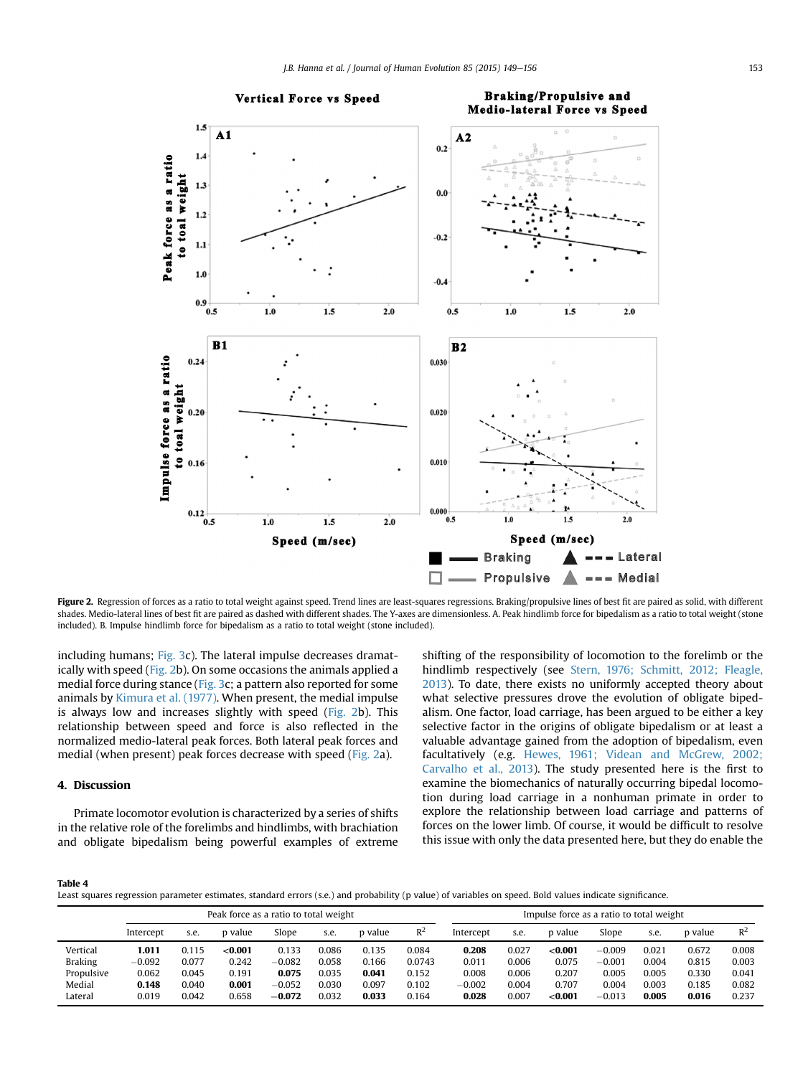<span id="page-4-0"></span>

Figure 2. Regression of forces as a ratio to total weight against speed. Trend lines are least-squares regressions. Braking/propulsive lines of best fit are paired as solid, with different shades. Medio-lateral lines of best fit are paired as dashed with different shades. The Y-axes are dimensionless. A. Peak hindlimb force for bipedalism as a ratio to total weight (stone included). B. Impulse hindlimb force for bipedalism as a ratio to total weight (stone included).

including humans; [Fig. 3c](#page-5-0)). The lateral impulse decreases dramatically with speed (Fig. 2b). On some occasions the animals applied a medial force during stance [\(Fig. 3c](#page-5-0); a pattern also reported for some animals by [Kimura et al. \(1977\).](#page-7-0) When present, the medial impulse is always low and increases slightly with speed (Fig. 2b). This relationship between speed and force is also reflected in the normalized medio-lateral peak forces. Both lateral peak forces and medial (when present) peak forces decrease with speed (Fig. 2a).

## 4. Discussion

Primate locomotor evolution is characterized by a series of shifts in the relative role of the forelimbs and hindlimbs, with brachiation and obligate bipedalism being powerful examples of extreme shifting of the responsibility of locomotion to the forelimb or the hindlimb respectively (see [Stern, 1976; Schmitt, 2012; Fleagle,](#page-7-0) [2013\)](#page-7-0). To date, there exists no uniformly accepted theory about what selective pressures drove the evolution of obligate bipedalism. One factor, load carriage, has been argued to be either a key selective factor in the origins of obligate bipedalism or at least a valuable advantage gained from the adoption of bipedalism, even facultatively (e.g. [Hewes, 1961; Videan and McGrew, 2002;](#page-7-0) [Carvalho et al., 2013](#page-7-0)). The study presented here is the first to examine the biomechanics of naturally occurring bipedal locomotion during load carriage in a nonhuman primate in order to explore the relationship between load carriage and patterns of forces on the lower limb. Of course, it would be difficult to resolve this issue with only the data presented here, but they do enable the

### Table 4

Least squares regression parameter estimates, standard errors (s.e.) and probability (p value) of variables on speed. Bold values indicate significance.

|                | Peak force as a ratio to total weight |       |         |          |       |         | Impulse force as a ratio to total weight |           |       |         |          |       |         |       |
|----------------|---------------------------------------|-------|---------|----------|-------|---------|------------------------------------------|-----------|-------|---------|----------|-------|---------|-------|
|                | Intercept                             | s.e.  | p value | Slope    | s.e.  | p value | $R^2$                                    | Intercept | s.e.  | p value | Slope    | s.e.  | p value | $R^2$ |
| Vertical       | 1.011                                 | 0.115 | < 0.001 | 0.133    | 0.086 | 0.135   | 0.084                                    | 0.208     | 0.027 | <0.001  | $-0.009$ | 0.021 | 0.672   | 0.008 |
| <b>Braking</b> | $-0.092$                              | 0.077 | 0.242   | $-0.082$ | 0.058 | 0.166   | 0.0743                                   | 0.011     | 0.006 | 0.075   | $-0.001$ | 0.004 | 0.815   | 0.003 |
| Propulsive     | 0.062                                 | 0.045 | 0.191   | 0.075    | 0.035 | 0.041   | 0.152                                    | 0.008     | 0.006 | 0.207   | 0.005    | 0.005 | 0.330   | 0.041 |
| Medial         | 0.148                                 | 0.040 | 0.001   | $-0.052$ | 0.030 | 0.097   | 0.102                                    | $-0.002$  | 0.004 | 0.707   | 0.004    | 0.003 | 0.185   | 0.082 |
| Lateral        | 0.019                                 | 0.042 | 0.658   | $-0.072$ | 0.032 | 0.033   | 0.164                                    | 0.028     | 0.007 | < 0.001 | $-0.013$ | 0.005 | 0.016   | 0.237 |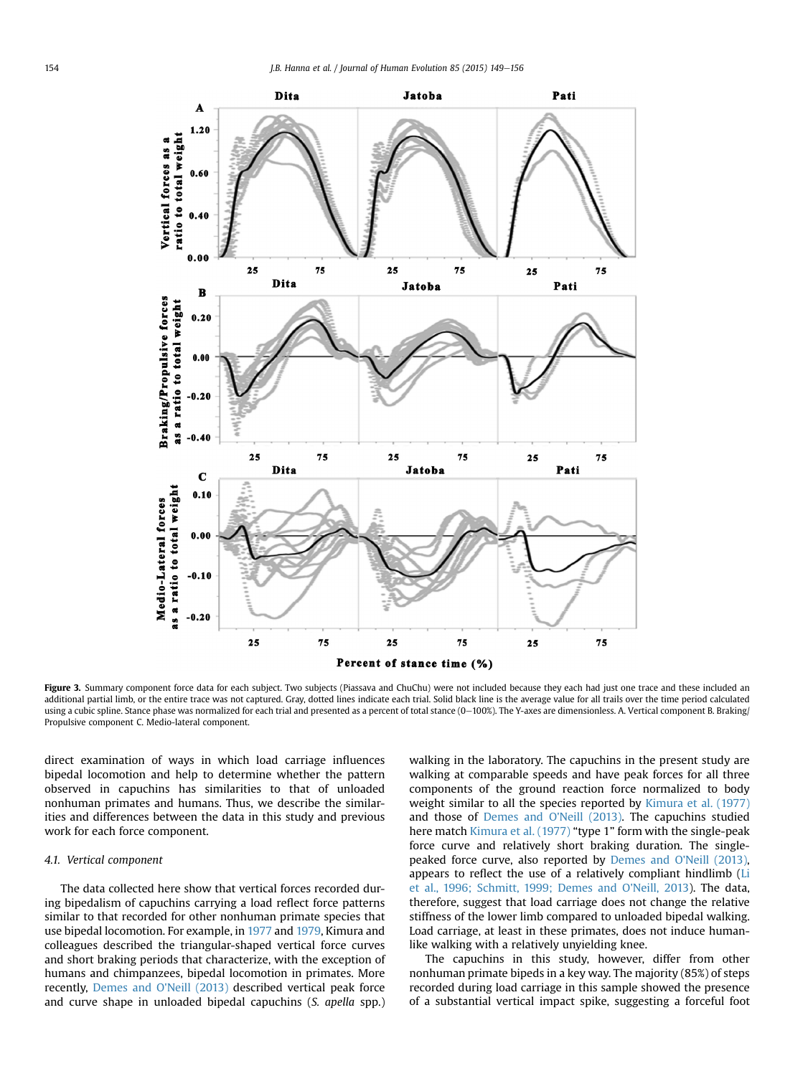<span id="page-5-0"></span>

Figure 3. Summary component force data for each subject. Two subjects (Piassava and ChuChu) were not included because they each had just one trace and these included an additional partial limb, or the entire trace was not captured. Gray, dotted lines indicate each trial. Solid black line is the average value for all trails over the time period calculated using a cubic spline. Stance phase was normalized for each trial and presented as a percent of total stance (0-100%). The Y-axes are dimensionless. A. Vertical component B. Braking/ Propulsive component C. Medio-lateral component.

direct examination of ways in which load carriage influences bipedal locomotion and help to determine whether the pattern observed in capuchins has similarities to that of unloaded nonhuman primates and humans. Thus, we describe the similarities and differences between the data in this study and previous work for each force component.

## 4.1. Vertical component

The data collected here show that vertical forces recorded during bipedalism of capuchins carrying a load reflect force patterns similar to that recorded for other nonhuman primate species that use bipedal locomotion. For example, in [1977](#page-7-0) and [1979,](#page-7-0) Kimura and colleagues described the triangular-shaped vertical force curves and short braking periods that characterize, with the exception of humans and chimpanzees, bipedal locomotion in primates. More recently, [Demes and O'Neill \(2013\)](#page-7-0) described vertical peak force and curve shape in unloaded bipedal capuchins (S. apella spp.) walking in the laboratory. The capuchins in the present study are walking at comparable speeds and have peak forces for all three components of the ground reaction force normalized to body weight similar to all the species reported by [Kimura et al. \(1977\)](#page-7-0) and those of [Demes and O'Neill \(2013\)](#page-7-0). The capuchins studied here match [Kimura et al. \(1977\)](#page-7-0) "type 1" form with the single-peak force curve and relatively short braking duration. The singlepeaked force curve, also reported by [Demes and O'Neill \(2013\),](#page-7-0) appears to reflect the use of a relatively compliant hindlimb [\(Li](#page-7-0) [et al., 1996; Schmitt, 1999; Demes and O'Neill, 2013](#page-7-0)). The data, therefore, suggest that load carriage does not change the relative stiffness of the lower limb compared to unloaded bipedal walking. Load carriage, at least in these primates, does not induce humanlike walking with a relatively unyielding knee.

The capuchins in this study, however, differ from other nonhuman primate bipeds in a key way. The majority (85%) of steps recorded during load carriage in this sample showed the presence of a substantial vertical impact spike, suggesting a forceful foot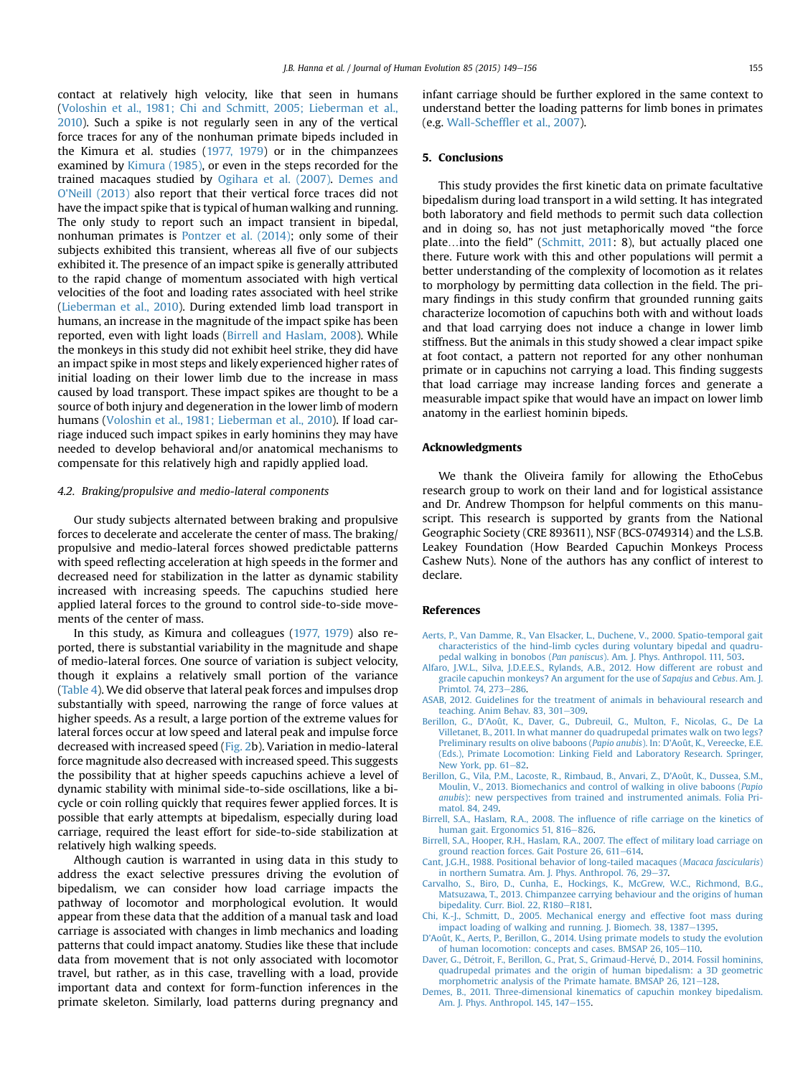<span id="page-6-0"></span>contact at relatively high velocity, like that seen in humans ([Voloshin et al., 1981; Chi and Schmitt, 2005; Lieberman et al.,](#page-7-0) [2010\)](#page-7-0). Such a spike is not regularly seen in any of the vertical force traces for any of the nonhuman primate bipeds included in the Kimura et al. studies [\(1977, 1979](#page-7-0)) or in the chimpanzees examined by [Kimura \(1985\),](#page-7-0) or even in the steps recorded for the trained macaques studied by [Ogihara et al. \(2007\).](#page-7-0) [Demes and](#page-7-0) [O'Neill \(2013\)](#page-7-0) also report that their vertical force traces did not have the impact spike that is typical of human walking and running. The only study to report such an impact transient in bipedal, nonhuman primates is [Pontzer et al. \(2014\)](#page-7-0); only some of their subjects exhibited this transient, whereas all five of our subjects exhibited it. The presence of an impact spike is generally attributed to the rapid change of momentum associated with high vertical velocities of the foot and loading rates associated with heel strike ([Lieberman et al., 2010\)](#page-7-0). During extended limb load transport in humans, an increase in the magnitude of the impact spike has been reported, even with light loads (Birrell and Haslam, 2008). While the monkeys in this study did not exhibit heel strike, they did have an impact spike in most steps and likely experienced higher rates of initial loading on their lower limb due to the increase in mass caused by load transport. These impact spikes are thought to be a source of both injury and degeneration in the lower limb of modern humans ([Voloshin et al., 1981; Lieberman et al., 2010\)](#page-7-0). If load carriage induced such impact spikes in early hominins they may have needed to develop behavioral and/or anatomical mechanisms to compensate for this relatively high and rapidly applied load.

## 4.2. Braking/propulsive and medio-lateral components

Our study subjects alternated between braking and propulsive forces to decelerate and accelerate the center of mass. The braking/ propulsive and medio-lateral forces showed predictable patterns with speed reflecting acceleration at high speeds in the former and decreased need for stabilization in the latter as dynamic stability increased with increasing speeds. The capuchins studied here applied lateral forces to the ground to control side-to-side movements of the center of mass.

In this study, as Kimura and colleagues ([1977, 1979](#page-7-0)) also reported, there is substantial variability in the magnitude and shape of medio-lateral forces. One source of variation is subject velocity, though it explains a relatively small portion of the variance ([Table 4\)](#page-4-0). We did observe that lateral peak forces and impulses drop substantially with speed, narrowing the range of force values at higher speeds. As a result, a large portion of the extreme values for lateral forces occur at low speed and lateral peak and impulse force decreased with increased speed ([Fig. 2](#page-4-0)b). Variation in medio-lateral force magnitude also decreased with increased speed. This suggests the possibility that at higher speeds capuchins achieve a level of dynamic stability with minimal side-to-side oscillations, like a bicycle or coin rolling quickly that requires fewer applied forces. It is possible that early attempts at bipedalism, especially during load carriage, required the least effort for side-to-side stabilization at relatively high walking speeds.

Although caution is warranted in using data in this study to address the exact selective pressures driving the evolution of bipedalism, we can consider how load carriage impacts the pathway of locomotor and morphological evolution. It would appear from these data that the addition of a manual task and load carriage is associated with changes in limb mechanics and loading patterns that could impact anatomy. Studies like these that include data from movement that is not only associated with locomotor travel, but rather, as in this case, travelling with a load, provide important data and context for form-function inferences in the primate skeleton. Similarly, load patterns during pregnancy and

infant carriage should be further explored in the same context to understand better the loading patterns for limb bones in primates (e.g. Wall-Scheffl[er et al., 2007\)](#page-7-0).

## 5. Conclusions

This study provides the first kinetic data on primate facultative bipedalism during load transport in a wild setting. It has integrated both laboratory and field methods to permit such data collection and in doing so, has not just metaphorically moved "the force plate…into the field" ([Schmitt, 2011:](#page-7-0) 8), but actually placed one there. Future work with this and other populations will permit a better understanding of the complexity of locomotion as it relates to morphology by permitting data collection in the field. The primary findings in this study confirm that grounded running gaits characterize locomotion of capuchins both with and without loads and that load carrying does not induce a change in lower limb stiffness. But the animals in this study showed a clear impact spike at foot contact, a pattern not reported for any other nonhuman primate or in capuchins not carrying a load. This finding suggests that load carriage may increase landing forces and generate a measurable impact spike that would have an impact on lower limb anatomy in the earliest hominin bipeds.

## Acknowledgments

We thank the Oliveira family for allowing the EthoCebus research group to work on their land and for logistical assistance and Dr. Andrew Thompson for helpful comments on this manuscript. This research is supported by grants from the National Geographic Society (CRE 893611), NSF (BCS-0749314) and the L.S.B. Leakey Foundation (How Bearded Capuchin Monkeys Process Cashew Nuts). None of the authors has any conflict of interest to declare.

## References

- [Aerts, P., Van Damme, R., Van Elsacker, L., Duchene, V., 2000. Spatio-temporal gait](http://refhub.elsevier.com/S0047-2484(15)00132-3/sref1) [characteristics of the hind-limb cycles during voluntary bipedal and quadru](http://refhub.elsevier.com/S0047-2484(15)00132-3/sref1)pedal walking in bonobos (Pan paniscus[\). Am. J. Phys. Anthropol. 111, 503](http://refhub.elsevier.com/S0047-2484(15)00132-3/sref1).
- [Alfaro, J.W.L., Silva, J.D.E.E.S., Rylands, A.B., 2012. How different are robust and](http://refhub.elsevier.com/S0047-2484(15)00132-3/sref2) [gracile capuchin monkeys? An argument for the use of](http://refhub.elsevier.com/S0047-2484(15)00132-3/sref2) Sapajus and Cebus. Am. J. [Primtol. 74, 273](http://refhub.elsevier.com/S0047-2484(15)00132-3/sref2)-[286.](http://refhub.elsevier.com/S0047-2484(15)00132-3/sref2)
- [ASAB, 2012. Guidelines for the treatment of animals in behavioural research and](http://refhub.elsevier.com/S0047-2484(15)00132-3/sref3) teaching. Anim Behav. 83,  $301-309$ .
- [Berillon, G., D'Août, K., Daver, G., Dubreuil, G., Multon, F., Nicolas, G., De La](http://refhub.elsevier.com/S0047-2484(15)00132-3/sref4) [Villetanet, B., 2011. In what manner do quadrupedal primates walk on two legs?](http://refhub.elsevier.com/S0047-2484(15)00132-3/sref4) [Preliminary results on olive baboons \(](http://refhub.elsevier.com/S0047-2484(15)00132-3/sref4)Papio anubis). In: D'Août, K., Vereecke, E.E. [\(Eds.\), Primate Locomotion: Linking Field and Laboratory Research. Springer,](http://refhub.elsevier.com/S0047-2484(15)00132-3/sref4) New York, pp.  $61-82$  $61-82$ .
- [Berillon, G., Vila, P.M., Lacoste, R., Rimbaud, B., Anvari, Z., D'Août, K., Dussea, S.M.,](http://refhub.elsevier.com/S0047-2484(15)00132-3/sref5) [Moulin, V., 2013. Biomechanics and control of walking in olive baboons \(](http://refhub.elsevier.com/S0047-2484(15)00132-3/sref5)Papio anubis[\): new perspectives from trained and instrumented animals. Folia Pri](http://refhub.elsevier.com/S0047-2484(15)00132-3/sref5)[matol. 84, 249](http://refhub.elsevier.com/S0047-2484(15)00132-3/sref5).
- [Birrell, S.A., Haslam, R.A., 2008. The in](http://refhub.elsevier.com/S0047-2484(15)00132-3/sref6)fluence of rifle carriage on the kinetics of [human gait. Ergonomics 51, 816](http://refhub.elsevier.com/S0047-2484(15)00132-3/sref6)-[826](http://refhub.elsevier.com/S0047-2484(15)00132-3/sref6).
- [Birrell, S.A., Hooper, R.H., Haslam, R.A., 2007. The effect of military load carriage on](http://refhub.elsevier.com/S0047-2484(15)00132-3/sref7) [ground reaction forces. Gait Posture 26, 611](http://refhub.elsevier.com/S0047-2484(15)00132-3/sref7)-[614.](http://refhub.elsevier.com/S0047-2484(15)00132-3/sref7)
- [Cant, J.G.H., 1988. Positional behavior of long-tailed macaques \(](http://refhub.elsevier.com/S0047-2484(15)00132-3/sref8)Macaca fascicularis) [in northern Sumatra. Am. J. Phys. Anthropol. 76, 29](http://refhub.elsevier.com/S0047-2484(15)00132-3/sref8)-[37.](http://refhub.elsevier.com/S0047-2484(15)00132-3/sref8)
- [Carvalho, S., Biro, D., Cunha, E., Hockings, K., McGrew, W.C., Richmond, B.G.,](http://refhub.elsevier.com/S0047-2484(15)00132-3/sref9) [Matsuzawa, T., 2013. Chimpanzee carrying behaviour and the origins of human](http://refhub.elsevier.com/S0047-2484(15)00132-3/sref9) [bipedality. Curr. Biol. 22, R180](http://refhub.elsevier.com/S0047-2484(15)00132-3/sref9)-[R181.](http://refhub.elsevier.com/S0047-2484(15)00132-3/sref9)
- [Chi, K.-J., Schmitt, D., 2005. Mechanical energy and effective foot mass during](http://refhub.elsevier.com/S0047-2484(15)00132-3/sref10) [impact loading of walking and running. J. Biomech. 38, 1387](http://refhub.elsevier.com/S0047-2484(15)00132-3/sref10)-[1395.](http://refhub.elsevier.com/S0047-2484(15)00132-3/sref10)
- D'[Août, K., Aerts, P., Berillon, G., 2014. Using primate models to study the evolution](http://refhub.elsevier.com/S0047-2484(15)00132-3/sref11) [of human locomotion: concepts and cases. BMSAP 26, 105](http://refhub.elsevier.com/S0047-2484(15)00132-3/sref11)-[110](http://refhub.elsevier.com/S0047-2484(15)00132-3/sref11).
- Daver, G., Détroit, F., Berillon, G., Prat, S., Grimaud-Hervé, D., 2014. Fossil hominins [quadrupedal primates and the origin of human bipedalism: a 3D geometric](http://refhub.elsevier.com/S0047-2484(15)00132-3/sref12) [morphometric analysis of the Primate hamate. BMSAP 26, 121](http://refhub.elsevier.com/S0047-2484(15)00132-3/sref12)-[128.](http://refhub.elsevier.com/S0047-2484(15)00132-3/sref12)
- [Demes, B., 2011. Three-dimensional kinematics of capuchin monkey bipedalism.](http://refhub.elsevier.com/S0047-2484(15)00132-3/sref13) [Am. J. Phys. Anthropol. 145, 147](http://refhub.elsevier.com/S0047-2484(15)00132-3/sref13)-[155.](http://refhub.elsevier.com/S0047-2484(15)00132-3/sref13)